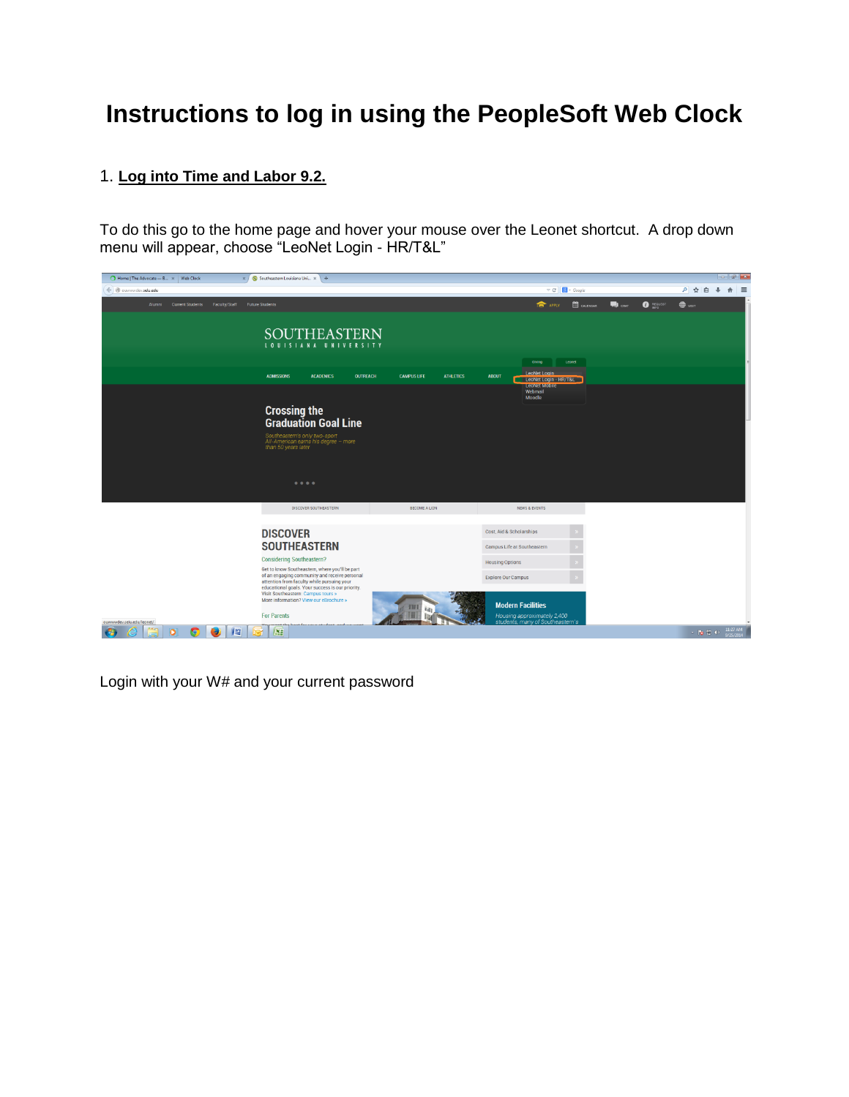## **Instructions to log in using the PeopleSoft Web Clock**

## 1. **Log into Time and Labor 9.2.**

To do this go to the home page and hover your mouse over the Leonet shortcut. A drop down menu will appear, choose "LeoNet Login - HR/T&L"

| Home   The Advocate - B x   Web Clock<br>$\times$            | S Southeastern Louisiana Uni x +                                                                                                              |                                        |                                                                 |                                    | $-16$                             |
|--------------------------------------------------------------|-----------------------------------------------------------------------------------------------------------------------------------------------|----------------------------------------|-----------------------------------------------------------------|------------------------------------|-----------------------------------|
| ← @ ouwwwdev.selu.edu                                        |                                                                                                                                               |                                        | $\triangledown$ C' $\bigotimes$ - Google                        |                                    | ○ ☆ 自<br>$\cdot$<br>$\hat{\pi}$ = |
| Alumni Current Students Faculty/Staff Future Students        |                                                                                                                                               |                                        | <b>前</b> CALENDAR<br><b>THE APPLY</b>                           | <b>O</b> REQUEST<br>$\blacksquare$ | $\bigoplus$ vsn                   |
|                                                              | <b>SOUTHEASTERN</b><br>LOUISIANA UNIVERSITY                                                                                                   |                                        |                                                                 |                                    |                                   |
|                                                              |                                                                                                                                               |                                        | Giving<br>Leonet                                                |                                    |                                   |
|                                                              | <b>ADMISSIONS</b><br><b>ACADEMICS</b><br><b>OUTREACH</b>                                                                                      | <b>CAMPUS LIFE</b><br><b>ATHLETICS</b> | LeoNet Login<br><b>ABOUT</b><br>LeoNet Login - HR/T&L           |                                    |                                   |
|                                                              |                                                                                                                                               |                                        | <b>LeoNet Mobile</b><br>Webmail<br>Moodle                       |                                    |                                   |
|                                                              |                                                                                                                                               |                                        |                                                                 |                                    |                                   |
|                                                              | <b>Crossing the<br/>Graduation Goal Line</b>                                                                                                  |                                        |                                                                 |                                    |                                   |
|                                                              | Southeastern's only two-sport<br>All-American earns his degree - more                                                                         |                                        |                                                                 |                                    |                                   |
|                                                              | than 50 years later                                                                                                                           |                                        |                                                                 |                                    |                                   |
|                                                              |                                                                                                                                               |                                        |                                                                 |                                    |                                   |
|                                                              | $\bullet\bullet\bullet\bullet$                                                                                                                |                                        |                                                                 |                                    |                                   |
|                                                              |                                                                                                                                               |                                        |                                                                 |                                    |                                   |
|                                                              | DISCOVER SOUTHEASTERN                                                                                                                         | BECOME A LION                          | <b>NEWS &amp; EVENTS</b>                                        |                                    |                                   |
|                                                              | <b>DISCOVER</b>                                                                                                                               |                                        | Cost, Aid & Scholarships                                        |                                    |                                   |
|                                                              | <b>SOUTHEASTERN</b>                                                                                                                           |                                        | Campus Life at Southeastern                                     |                                    |                                   |
|                                                              | <b>Considering Southeastern?</b>                                                                                                              |                                        | <b>Housing Options</b>                                          |                                    |                                   |
|                                                              | Get to know Southeastern, where you'll be part<br>of an engaging community and receive personal<br>attention from faculty while pursuing your |                                        | <b>Explore Our Campus</b>                                       |                                    |                                   |
|                                                              | educational goals. Your success is our priority.<br>Visit Southeastern: Campus tours »                                                        |                                        |                                                                 |                                    |                                   |
|                                                              | More information? View our eBrochure »                                                                                                        |                                        | <b>Modern Facilities</b>                                        |                                    |                                   |
| ouwwwdev.selu.edu/leonet/                                    | <b>For Parents</b><br>حلم مدم                                                                                                                 |                                        | Housing approximately 2,400<br>students, many of Southeastern's |                                    |                                   |
| $\overline{\mathbf{o}}$<br>Гe<br><b>V</b> <sub>S</sub><br>۰, | X <sub>2</sub>                                                                                                                                |                                        |                                                                 |                                    | 11:27 AM<br>$\sim$ 10 10 40       |

Login with your W# and your current password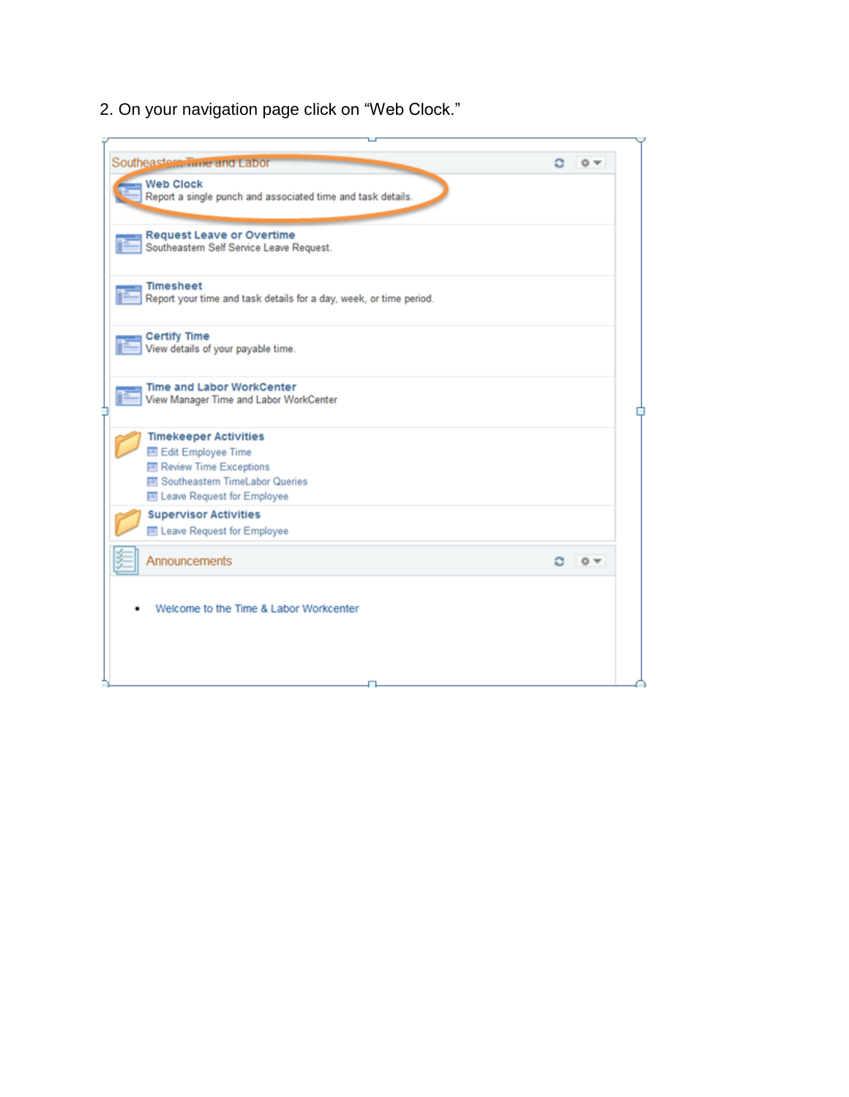2. On your navigation page click on "Web Clock."

| Southeastern Time and Labor                                                            | о<br>$\circ$         |
|----------------------------------------------------------------------------------------|----------------------|
| <b>Web Clock</b><br>Report a single punch and associated time and task details.        |                      |
| <b>Request Leave or Overtime</b><br>Southeastern Self Service Leave Request.           |                      |
| <b>Timesheet</b><br>Report your time and task details for a day, week, or time period. |                      |
| <b>Certify Time</b><br>View details of your payable time.                              |                      |
| <b>Time and Labor WorkCenter</b><br>View Manager Time and Labor WorkCenter             |                      |
| <b>Timekeeper Activities</b>                                                           |                      |
| <b>国 Edit Employee Time</b>                                                            |                      |
| <b>E Review Time Exceptions</b><br><b>■ Southeastern TimeLabor Queries</b>             |                      |
| El Leave Request for Employee                                                          |                      |
| <b>Supervisor Activities</b>                                                           |                      |
| 图 Leave Request for Employee                                                           |                      |
| Announcements                                                                          | $\circ$ $\star$<br>o |
| Welcome to the Time & Labor Workcenter                                                 |                      |
|                                                                                        |                      |
|                                                                                        |                      |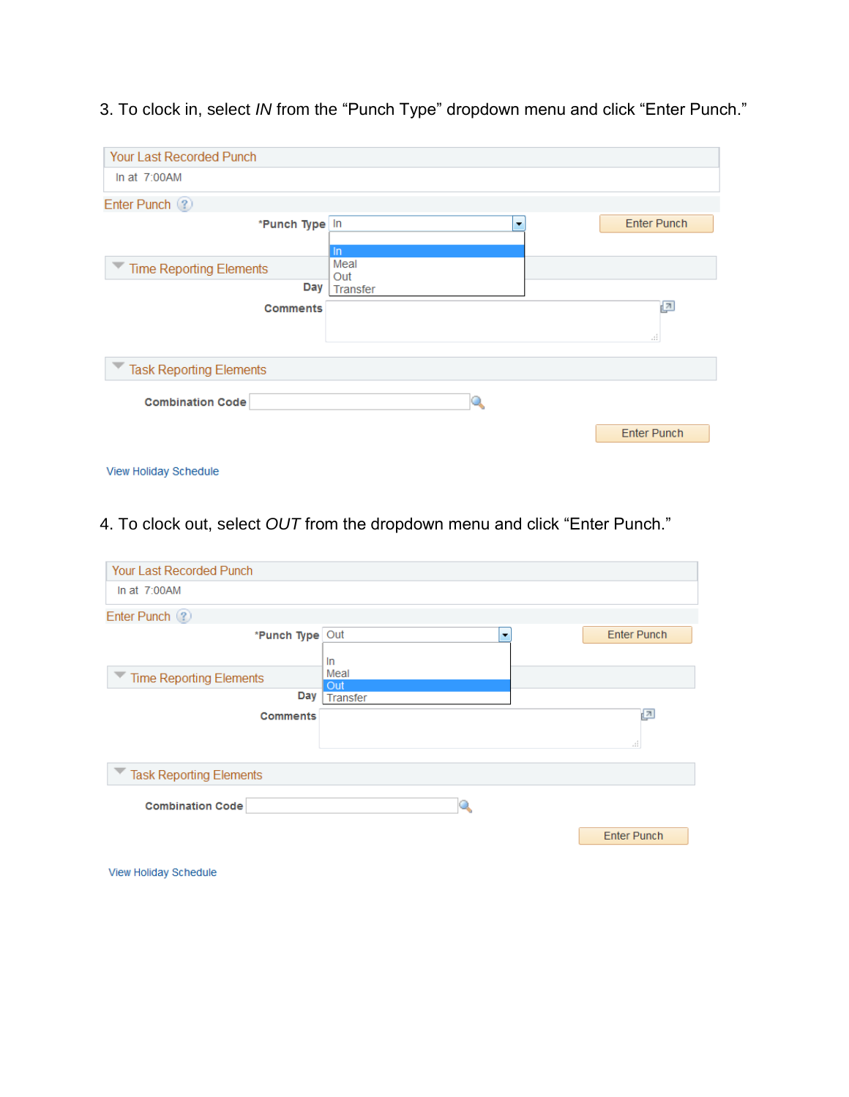| <b>Your Last Recorded Punch</b> |                 |                       |
|---------------------------------|-----------------|-----------------------|
| In at $7:00AM$                  |                 |                       |
| Enter Punch (?)                 |                 |                       |
| *Punch Type In                  | ۰               | <b>Enter Punch</b>    |
|                                 | $\ln$           |                       |
| Time Reporting Elements         | Meal            |                       |
| Day                             | Out<br>Transfer |                       |
| <b>Comments</b>                 |                 | 린<br>$\pm\frac{4}{3}$ |
| <b>Task Reporting Elements</b>  |                 |                       |
| <b>Combination Code</b>         |                 |                       |
|                                 |                 | <b>Enter Punch</b>    |
| View Holiday Schedule           |                 |                       |

3. To clock in, select *IN* from the "Punch Type" dropdown menu and click "Enter Punch."

## 4. To clock out, select *OUT* from the dropdown menu and click "Enter Punch."

| <b>Your Last Recorded Punch</b> |             |                           |
|---------------------------------|-------------|---------------------------|
| In at $7:00AM$                  |             |                           |
| Enter Punch ?                   |             |                           |
| *Punch Type Out                 | ٠<br>In     | <b>Enter Punch</b>        |
| Time Reporting Elements         | Meal<br>Out |                           |
| Day                             | Transfer    |                           |
| <b>Comments</b>                 |             | ⊡<br>$\mathbb{Z}_2^{\pm}$ |
| Task Reporting Elements         |             |                           |
| <b>Combination Code</b>         |             |                           |
|                                 |             | <b>Enter Punch</b>        |
|                                 |             |                           |

View Holiday Schedule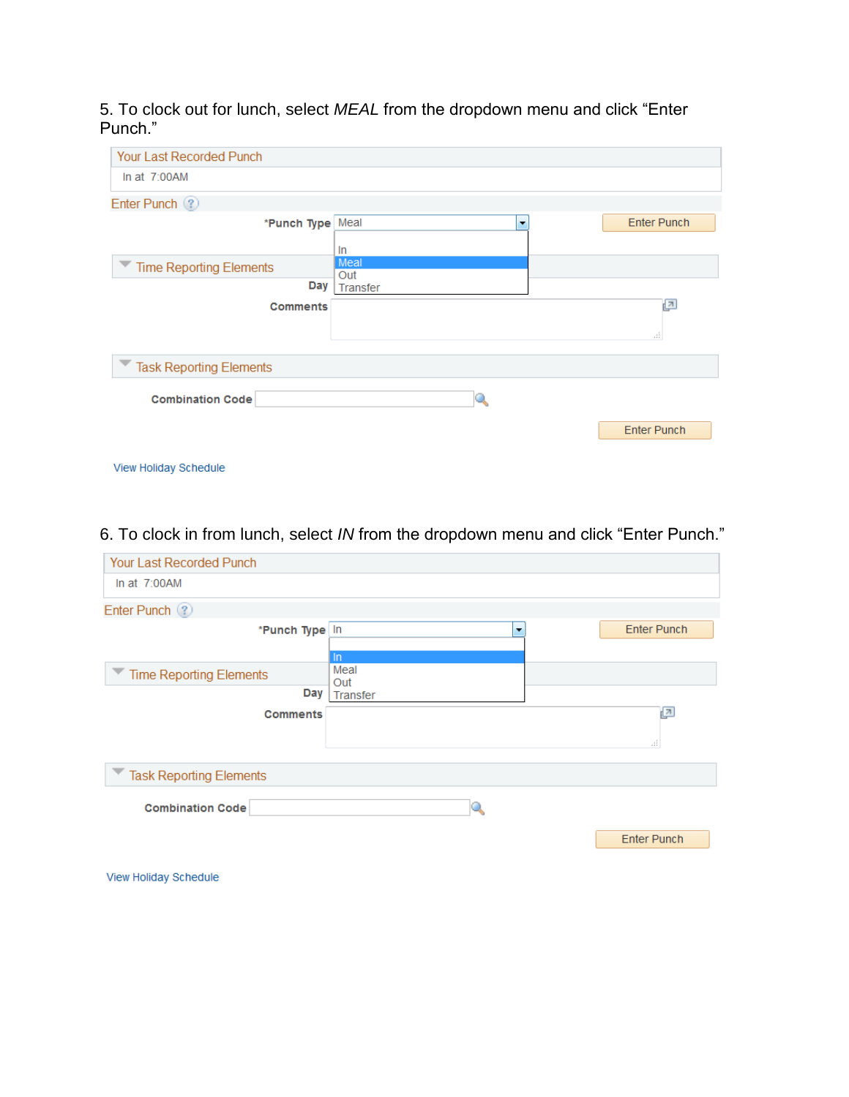5. To clock out for lunch, select *MEAL* from the dropdown menu and click "Enter Punch."

| Your Last Recorded Punch       |                      |                    |
|--------------------------------|----------------------|--------------------|
| In at $7:00AM$                 |                      |                    |
| Enter Punch (?)                |                      |                    |
| *Punch Type Meal               | $\blacktriangledown$ | <b>Enter Punch</b> |
|                                | In                   |                    |
| <b>Time Reporting Elements</b> | Meal<br>Out          |                    |
| Day                            | <b>Transfer</b>      |                    |
| <b>Comments</b>                |                      | ⊡                  |
|                                |                      | af.                |
| <b>Task Reporting Elements</b> |                      |                    |
| <b>Combination Code</b>        |                      |                    |
|                                |                      |                    |
|                                |                      | <b>Enter Punch</b> |
|                                |                      |                    |
| View Holiday Schedule          |                      |                    |

6. To clock in from lunch, select *IN* from the dropdown menu and click "Enter Punch."

| <b>Your Last Recorded Punch</b>       |                         |                       |
|---------------------------------------|-------------------------|-----------------------|
| In at $7:00AM$                        |                         |                       |
| Enter Punch (?)                       |                         |                       |
| *Punch Type In                        | $\blacksquare$<br>$\ln$ | <b>Enter Punch</b>    |
| <b>Time Reporting Elements</b><br>Day | Meal<br>Out<br>Transfer |                       |
| <b>Comments</b>                       |                         | 囜<br>$\pm\frac{4}{4}$ |
| <b>Task Reporting Elements</b>        |                         |                       |
| <b>Combination Code</b>               |                         |                       |
|                                       |                         | <b>Enter Punch</b>    |
| View Holiday Schedule                 |                         |                       |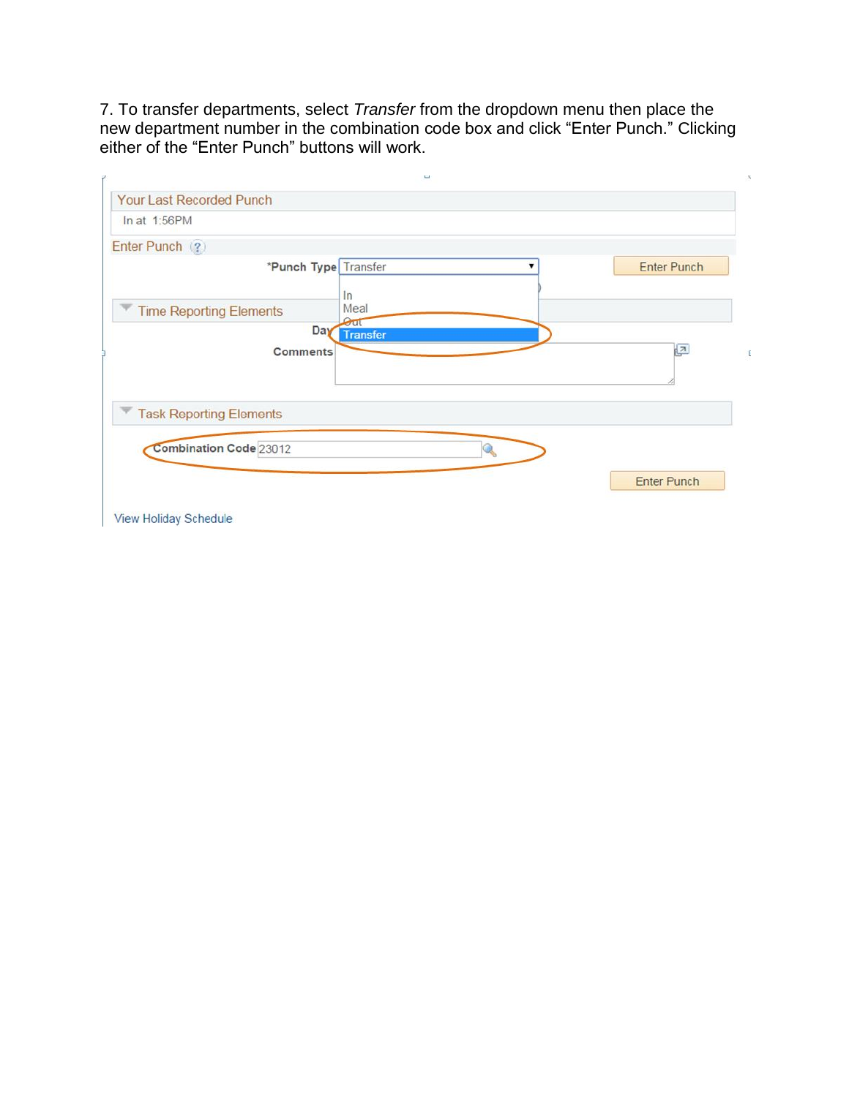7. To transfer departments, select *Transfer* from the dropdown menu then place the new department number in the combination code box and click "Enter Punch." Clicking either of the "Enter Punch" buttons will work.

| In at 1:56PM                   |                     |                    |
|--------------------------------|---------------------|--------------------|
| Enter Punch (?)                |                     |                    |
| *Punch Type Transfer           | ▼                   | <b>Enter Punch</b> |
|                                | In                  |                    |
| <b>Time Reporting Elements</b> | Meal<br>$\Theta$ ut |                    |
| Day                            | <b>Transfer</b>     |                    |
| <b>Comments</b>                |                     | $\sqrt{2}$         |
|                                |                     |                    |
|                                |                     |                    |
| <b>Task Reporting Elements</b> |                     |                    |
|                                |                     |                    |
| <b>Combination Code 23012</b>  | GR                  |                    |
|                                |                     |                    |